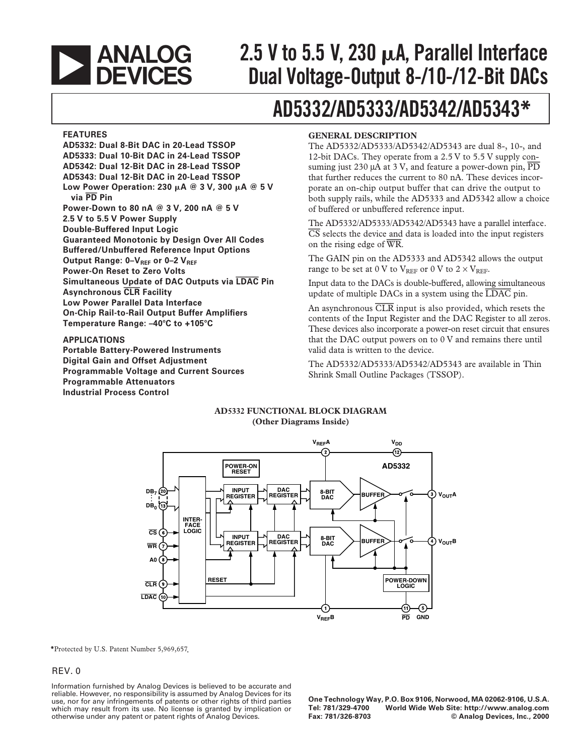# **EXAMALOG**<br>DEVICES

# **2.5 V to 5.5 V, 230 A, Parallel Interface Dual Voltage-Output 8-/10-/12-Bit DACs**

# **AD5332/AD5333/AD5342/AD5343\***

#### **FEATURES**

**AD5332: Dual 8-Bit DAC in 20-Lead TSSOP AD5333: Dual 10-Bit DAC in 24-Lead TSSOP AD5342: Dual 12-Bit DAC in 28-Lead TSSOP AD5343: Dual 12-Bit DAC in 20-Lead TSSOP Low Power Operation: 230 A @ 3 V, 300 A @ 5 V via PD Pin Power-Down to 80 nA @ 3 V, 200 nA @ 5 V 2.5 V to 5.5 V Power Supply Double-Buffered Input Logic Guaranteed Monotonic by Design Over All Codes Buffered/Unbuffered Reference Input Options** Output Range: 0-V<sub>REF</sub> or 0-2 V<sub>REF</sub> **Power-On Reset to Zero Volts Simultaneous Update of DAC Outputs via LDAC Pin Asynchronous CLR Facility Low Power Parallel Data Interface On-Chip Rail-to-Rail Output Buffer Amplifiers Temperature Range: –40**-**C to +105**-**C**

#### **APPLICATIONS**

**Portable Battery-Powered Instruments Digital Gain and Offset Adjustment Programmable Voltage and Current Sources Programmable Attenuators Industrial Process Control**

#### **GENERAL DESCRIPTION**

The AD5332/AD5333/AD5342/AD5343 are dual 8-, 10-, and 12-bit DACs. They operate from a 2.5 V to 5.5 V supply consuming just 230 µA at 3 V, and feature a power-down pin, *PD* that further reduces the current to 80 nA. These devices incorporate an on-chip output buffer that can drive the output to both supply rails, while the AD5333 and AD5342 allow a choice of buffered or unbuffered reference input.

The AD5332/AD5333/AD5342/AD5343 have a parallel interface. *CS* selects the device and data is loaded into the input registers on the rising edge of *WR*.

The GAIN pin on the AD5333 and AD5342 allows the output range to be set at 0 V to  $V_{REF}$  or 0 V to 2  $\times$  V<sub>REF</sub>.

Input data to the DACs is double-buffered, allowing simultaneous update of multiple DACs in a system using the *LDAC* pin.

An asynchronous *CLR* input is also provided, which resets the contents of the Input Register and the DAC Register to all zeros. These devices also incorporate a power-on reset circuit that ensures that the DAC output powers on to 0 V and remains there until valid data is written to the device.

The AD5332/AD5333/AD5342/AD5343 are available in Thin Shrink Small Outline Packages (TSSOP).

#### **AD5332 FUNCTIONAL BLOCK DIAGRAM (Other Diagrams Inside)**



**\***Protected by U.S. Patent Number 5,969,657 .

#### REV. 0

Information furnished by Analog Devices is believed to be accurate and reliable. However, no responsibility is assumed by Analog Devices for its use, nor for any infringements of patents or other rights of third parties which may result from its use. No license is granted by implication or otherwise under any patent or patent rights of Analog Devices.

**One Technology Way, P.O. Box 9106, Norwood, MA 02062-9106, U.S.A. Tel: 781/329-4700 World Wide Web Site: http://www.analog.com**  $©$  Analog Devices, Inc., 2000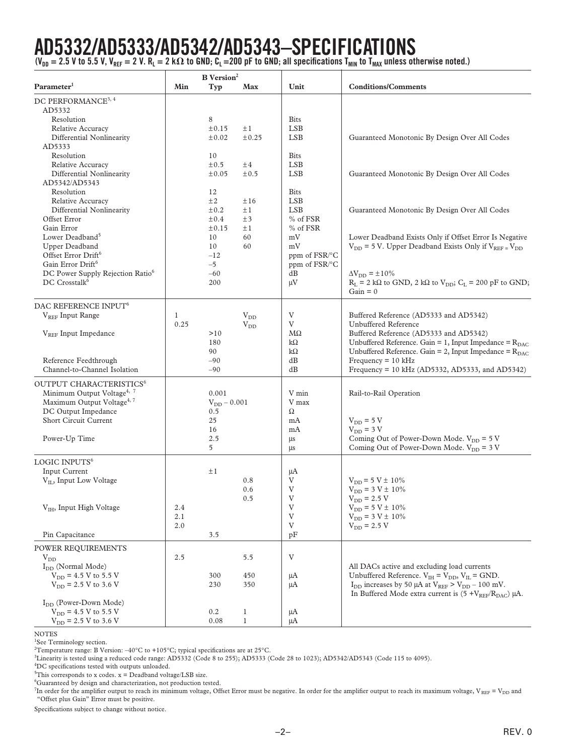# **AD5332/AD5333/AD5342/AD5343–SPECIFICATIONS**

(V<sub>DD</sub> = 2.5 V to 5.5 V, V<sub>REF</sub> = 2 V. R<sub>L</sub> = 2 kΩ to GND; C<sub>L</sub> =200 pF to GND; all specifications T<sub>MIN</sub> to T<sub>MAX</sub> unless otherwise noted.)

|                                                                                                                                                                                                                                                                                                   |                      | <b>B</b> Version <sup>2</sup>                                                                            |                                                                             |                                                                                                                                                       |                                                                                                                                                                                                                                                                                                                                        |
|---------------------------------------------------------------------------------------------------------------------------------------------------------------------------------------------------------------------------------------------------------------------------------------------------|----------------------|----------------------------------------------------------------------------------------------------------|-----------------------------------------------------------------------------|-------------------------------------------------------------------------------------------------------------------------------------------------------|----------------------------------------------------------------------------------------------------------------------------------------------------------------------------------------------------------------------------------------------------------------------------------------------------------------------------------------|
| Parameter <sup>1</sup>                                                                                                                                                                                                                                                                            | Min                  | Typ                                                                                                      | Max                                                                         | Unit                                                                                                                                                  | <b>Conditions/Comments</b>                                                                                                                                                                                                                                                                                                             |
| DC PERFORMANCE <sup>3, 4</sup><br>AD5332<br>Resolution<br>Relative Accuracy<br>Differential Nonlinearity<br>AD5333<br>Resolution<br>Relative Accuracy<br>Differential Nonlinearity<br>AD5342/AD5343<br>Resolution<br>Relative Accuracy<br>Differential Nonlinearity<br>Offset Error<br>Gain Error |                      | 8<br>±0.15<br>$\pm 0.02$<br>10<br>$\pm 0.5$<br>±0.05<br>12<br>$\pm 2$<br>$\pm 0.2$<br>$\pm 0.4$<br>±0.15 | $\pm 1$<br>$\pm 0.25$<br>±4<br>$\pm 0.5$<br>±16<br>$\pm 1$<br>±3<br>$\pm 1$ | <b>Bits</b><br><b>LSB</b><br><b>LSB</b><br><b>Bits</b><br><b>LSB</b><br><b>LSB</b><br><b>Bits</b><br><b>LSB</b><br><b>LSB</b><br>% of FSR<br>% of FSR | Guaranteed Monotonic By Design Over All Codes<br>Guaranteed Monotonic By Design Over All Codes<br>Guaranteed Monotonic By Design Over All Codes                                                                                                                                                                                        |
| Lower Deadband <sup>5</sup><br>Upper Deadband<br>Offset Error Drift <sup>6</sup><br>Gain Error Drift <sup>6</sup><br>DC Power Supply Rejection Ratio <sup>6</sup><br>DC Crosstalk <sup>6</sup>                                                                                                    |                      | 10<br>10<br>$-12$<br>$-5$<br>$-60$<br>200                                                                | 60<br>60                                                                    | mV<br>mV<br>ppm of FSR/°C<br>ppm of FSR/°C<br>dB<br>$\mu$ V                                                                                           | Lower Deadband Exists Only if Offset Error Is Negative<br>$V_{DD}$ = 5 V. Upper Deadband Exists Only if $V_{REF} = V_{DD}$<br>$\Delta V_{DD} = \pm 10\%$<br>$R_L = 2 k\Omega$ to GND, 2 k $\Omega$ to $V_{DD}$ ; $C_L = 200 pF$ to GND;<br>$Gain = 0$                                                                                  |
| DAC REFERENCE INPUT <sup>6</sup><br>V <sub>REE</sub> Input Range<br>V <sub>REF</sub> Input Impedance<br>Reference Feedthrough<br>Channel-to-Channel Isolation                                                                                                                                     | $\mathbf{1}$<br>0.25 | >10<br>180<br>90<br>$-90$<br>$-90$                                                                       | $V_{DD}$<br>$V_{DD}$                                                        | V<br>V<br>$M\Omega$<br>k $\Omega$<br>$k\Omega$<br>dB<br>dB                                                                                            | Buffered Reference (AD5333 and AD5342)<br><b>Unbuffered Reference</b><br>Buffered Reference (AD5333 and AD5342)<br>Unbuffered Reference. Gain = 1, Input Impedance = $R_{\text{DAC}}$<br>Unbuffered Reference. Gain = 2, Input Impedance = $R_{\text{DAC}}$<br>$Frequency = 10 kHz$<br>Frequency = 10 kHz (AD5332, AD5333, and AD5342) |
| OUTPUT CHARACTERISTICS <sup>6</sup><br>Minimum Output Voltage <sup>4, 7</sup><br>Maximum Output Voltage <sup>4, 7</sup><br>DC Output Impedance<br>Short Circuit Current<br>Power-Up Time                                                                                                          |                      | 0.001<br>$V_{DD} - 0.001$<br>0.5<br>25<br>16<br>2.5<br>5                                                 |                                                                             | V min<br>V max<br>Ω<br>mA<br>mA<br>μs<br>μs                                                                                                           | Rail-to-Rail Operation<br>$V_{DD}$ = 5 V<br>$V_{DD}$ = 3 V<br>Coming Out of Power-Down Mode. $V_{DD} = 5 V$<br>Coming Out of Power-Down Mode. $V_{DD} = 3 V$                                                                                                                                                                           |
| LOGIC INPUTS <sup>6</sup><br>Input Current<br>$V_{II}$ , Input Low Voltage<br>V <sub>IH</sub> , Input High Voltage<br>Pin Capacitance                                                                                                                                                             | 2.4<br>2.1<br>2.0    | $\pm 1$<br>3.5                                                                                           | 0.8<br>0.6<br>0.5                                                           | μA<br>V<br>V<br>V<br>V<br>V<br>V<br>pF                                                                                                                | $\rm V_{DD}$ = 5 V $\pm$ 10%<br>$V_{DD} = 3 V \pm 10\%$<br>$V_{DD}$ = 2.5 V<br>$V_{DD} = 5 V \pm 10\%$<br>$V_{DD} = 3 V \pm 10\%$<br>$\rm V_{DD}$ = 2.5 V                                                                                                                                                                              |
| POWER REQUIREMENTS<br>$V_{DD}$<br>$I_{DD}$ (Normal Mode)<br>$V_{DD}$ = 4.5 V to 5.5 V<br>$V_{DD}$ = 2.5 V to 3.6 V<br>I <sub>DD</sub> (Power-Down Mode)<br>$V_{DD}$ = 4.5 V to 5.5 V                                                                                                              | 2.5                  | 300<br>230<br>0.2                                                                                        | 5.5<br>450<br>350<br>$\mathbf{1}$                                           | V<br>μA<br>μA<br>μA                                                                                                                                   | All DACs active and excluding load currents<br>Unbuffered Reference. $V_{IH} = V_{DD}$ , $V_{IL} =$ GND.<br>$I_{DD}$ increases by 50 $\mu$ A at $V_{REF} > V_{DD} - 100$ mV.<br>In Buffered Mode extra current is $(5 + V_{REF}/R_{DAC}) \mu A$ .                                                                                      |
| $V_{DD}$ = 2.5 V to 3.6 V                                                                                                                                                                                                                                                                         |                      | 0.08                                                                                                     | $\mathbf{1}$                                                                | μA                                                                                                                                                    |                                                                                                                                                                                                                                                                                                                                        |

#### NOTES

<sup>1</sup>See Terminology section.

<sup>2</sup>Temperature range: B Version: –40°C to +105°C; typical specifications are at 25°C.

3 Linearity is tested using a reduced code range: AD5332 (Code 8 to 255); AD5333 (Code 28 to 1023); AD5342/AD5343 (Code 115 to 4095).

4 DC specifications tested with outputs unloaded.

 $5$ This corresponds to x codes. x = Deadband voltage/LSB size.

6 Guaranteed by design and characterization, not production tested.

 $^{7}$ In order for the amplifier output to reach its minimum voltage, Offset Error must be negative. In order for the amplifier output to reach its maximum voltage, V  $_{\rm{REF}}$  = V  $_{\rm{DD}}$  and "Offset plus Gain" Error must be positive.

Specifications subject to change without notice.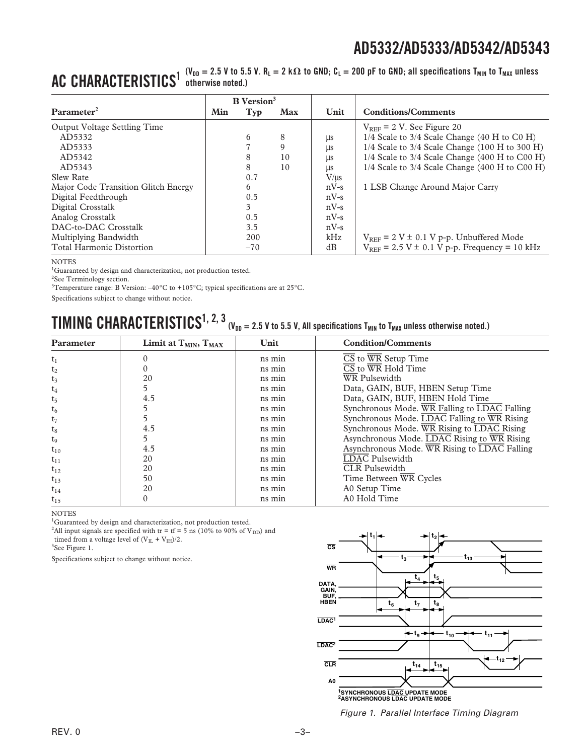#### $\mathbf{AC}\ \mathbf{CHARACTERISTICS}^{1\ \mathrm{(V_{DD}}\,=\,2.5\ \mathrm{V}\ \mathrm{to}\,\,5.5\ \mathrm{V}\cdot\mathrm{R_{L}}\,=\,2\ \mathrm{k}\,\Omega\,\mathrm{to}\,\mathrm{GND};\,\mathrm{C_{L}}\,=\,200\ \mathrm{pF}\,\mathrm{to}\,\mathrm{GND};\,\mathrm{all}\,\mathrm{specifications}\,\mathrm{T_{MIN}}\,\mathrm{to}\,\mathrm{T_{MAX}}\,\mathrm{unless}$ **otherwise noted.)**

|                                     |     | <b>B</b> Version <sup>3</sup> |            |           |                                                       |
|-------------------------------------|-----|-------------------------------|------------|-----------|-------------------------------------------------------|
| Parameter <sup>2</sup>              | Min | Typ                           | <b>Max</b> | Unit      | <b>Conditions/Comments</b>                            |
| Output Voltage Settling Time        |     |                               |            |           | $V_{REF}$ = 2 V. See Figure 20                        |
| AD5332                              |     | 6                             | 8          | μs        | $1/4$ Scale to $3/4$ Scale Change (40 H to C0 H)      |
| AD5333                              |     |                               | 9          | μs        | $1/4$ Scale to 3/4 Scale Change (100 H to 300 H)      |
| AD5342                              |     |                               | 10         | μs        | $1/4$ Scale to 3/4 Scale Change (400 H to C00 H)      |
| AD5343                              |     | 8                             | 10         | μs        | $1/4$ Scale to $3/4$ Scale Change (400 H to C00 H)    |
| Slew Rate                           |     | 0.7                           |            | $V/\mu s$ |                                                       |
| Major Code Transition Glitch Energy |     | 6                             |            | $nV-s$    | 1 LSB Change Around Major Carry                       |
| Digital Feedthrough                 |     | 0.5                           |            | $nV-s$    |                                                       |
| Digital Crosstalk                   |     | 3                             |            | $nV-s$    |                                                       |
| Analog Crosstalk                    |     | 0.5                           |            | $nV-s$    |                                                       |
| DAC-to-DAC Crosstalk                |     | 3.5                           |            | $nV-s$    |                                                       |
| Multiplying Bandwidth               |     | 200                           |            | kHz       | $V_{REF}$ = 2 V $\pm$ 0.1 V p-p. Unbuffered Mode      |
| <b>Total Harmonic Distortion</b>    |     | $-70$                         |            | dB        | $V_{REF}$ = 2.5 V $\pm$ 0.1 V p-p. Frequency = 10 kHz |

#### **NOTES**

<sup>1</sup>Guaranteed by design and characterization, not production tested.

<sup>2</sup>See Terminology section.

<sup>3</sup>Temperature range: B Version:  $-40^{\circ}$ C to +105°C; typical specifications are at 25°C.

Specifications subject to change without notice.

# $\bf{TIMING}$   $\bf{CHARACTERISTICS}^{1,\ 2,\ 3}$  (V<sub>DD</sub> = 2.5 V to 5.5 V, All specifications T<sub>MIN</sub> to T<sub>MAX</sub> unless otherwise noted.)

| Limit at $T_{MIN}$ , $T_{MAX}$ | Unit   | <b>Condition/Comments</b>                                              |
|--------------------------------|--------|------------------------------------------------------------------------|
|                                | ns min | $\overline{\text{CS}}$ to $\overline{\text{WR}}$ Setup Time            |
|                                | ns min | $\overline{\text{CS}}$ to $\overline{\text{WR}}$ Hold Time             |
| 20                             | ns min | WR Pulsewidth                                                          |
| 5                              | ns min | Data, GAIN, BUF, HBEN Setup Time                                       |
| 4.5                            | ns min | Data, GAIN, BUF, HBEN Hold Time                                        |
|                                | ns min | Synchronous Mode. $\overline{WR}$ Falling to $\overline{LDAC}$ Falling |
|                                | ns min | Synchronous Mode. $\overline{LDAC}$ Falling to $\overline{WR}$ Rising  |
| 4.5                            | ns min | Synchronous Mode. WR Rising to LDAC Rising                             |
| 5                              | ns min | Asynchronous Mode. LDAC Rising to WR Rising                            |
| 4.5                            | ns min | Asynchronous Mode. WR Rising to LDAC Falling                           |
| 20                             | ns min | <b>LDAC</b> Pulsewidth                                                 |
| 20                             | ns min | <b>CLR</b> Pulsewidth                                                  |
| 50                             | ns min | Time Between WR Cycles                                                 |
| 20                             | ns min | A0 Setup Time                                                          |
|                                | ns min | A0 Hold Time                                                           |
|                                |        |                                                                        |

NOTES

<sup>1</sup>Guaranteed by design and characterization, not production tested.

<sup>2</sup>All input signals are specified with tr = tf = 5 ns (10% to 90% of  $V_{DD}$ ) and timed from a voltage level of (V $_{\rm IL}$  + V $_{\rm IH})/2.$ 

3 See Figure 1.

Specifications subject to change without notice.



Figure 1. Parallel Interface Timing Diagram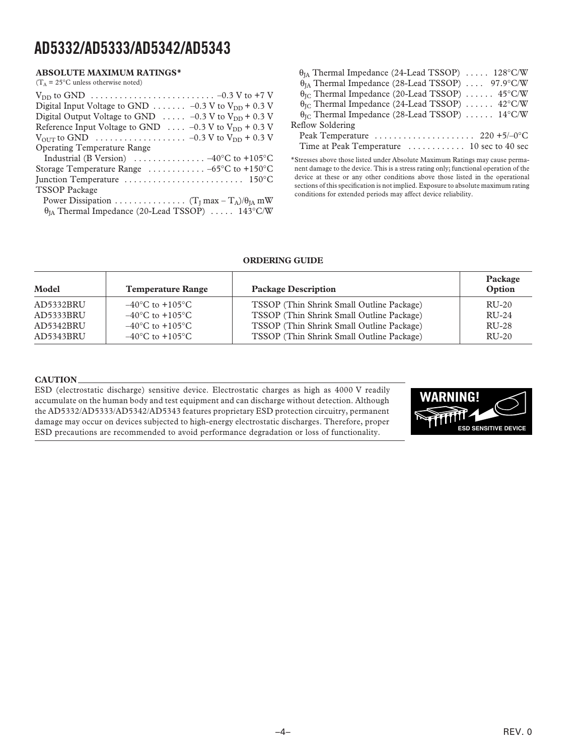#### **ABSOLUTE MAXIMUM RATINGS\***

|  |  |  | $(T_A = 25^{\circ}$ C unless otherwise noted) |  |
|--|--|--|-----------------------------------------------|--|
|--|--|--|-----------------------------------------------|--|

| $V_{DD}$ to GND $\ldots \ldots \ldots \ldots \ldots \ldots \ldots \ldots \ldots \ldots \ldots \ldots \ldots$             |
|--------------------------------------------------------------------------------------------------------------------------|
| Digital Input Voltage to GND $\ldots \ldots -0.3$ V to V <sub>DD</sub> + 0.3 V                                           |
| Digital Output Voltage to GND $\ldots$ -0.3 V to V <sub>DD</sub> + 0.3 V                                                 |
| Reference Input Voltage to GND $\ldots$ -0.3 V to V <sub>DD</sub> + 0.3 V                                                |
| $V_{\text{OUT}}$ to GND $\ldots \ldots \ldots \ldots \ldots \ldots \ldots \ldots \sim -0.3$ V to $V_{\text{DD}}$ + 0.3 V |
| <b>Operating Temperature Range</b>                                                                                       |
| Industrial (B Version) $\ldots \ldots \ldots \ldots -40^{\circ}C$ to +105°C                                              |
| Storage Temperature Range $\ldots \ldots \ldots -65$ °C to +150°C                                                        |
|                                                                                                                          |
| <b>TSSOP</b> Package                                                                                                     |
|                                                                                                                          |
| $\theta_{IA}$ Thermal Impedance (20-Lead TSSOP)  143°C/W                                                                 |
|                                                                                                                          |

| $\theta_{IA}$ Thermal Impedance (24-Lead TSSOP) $\ldots$ 128°C/W           |
|----------------------------------------------------------------------------|
|                                                                            |
| θ <sub>IA</sub> Thermal Impedance (28-Lead TSSOP)  97.9°C/W                |
| $\theta_{\text{IC}}$ Thermal Impedance (20-Lead TSSOP)  45°C/W             |
| $\theta_{\text{IC}}$ Thermal Impedance (24-Lead TSSOP)  42°C/W             |
| $\theta_{\text{IC}}$ Thermal Impedance (28-Lead TSSOP)  14°C/W             |
| Reflow Soldering                                                           |
| Peak Temperature $\dots \dots \dots \dots \dots \dots \dots 220 + 5/-0$ °C |
|                                                                            |

\*Stresses above those listed under Absolute Maximum Ratings may cause permanent damage to the device. This is a stress rating only; functional operation of the device at these or any other conditions above those listed in the operational sections of this specification is not implied. Exposure to absolute maximum rating conditions for extended periods may affect device reliability.

#### **ORDERING GUIDE**

| Model     | <b>Temperature Range</b>            | <b>Package Description</b>                | Package<br>Option |
|-----------|-------------------------------------|-------------------------------------------|-------------------|
| AD5332BRU | $-40^{\circ}$ C to $+105^{\circ}$ C | TSSOP (Thin Shrink Small Outline Package) | $RU-20$           |
| AD5333BRU | $-40^{\circ}$ C to $+105^{\circ}$ C | TSSOP (Thin Shrink Small Outline Package) | $RU-24$           |
| AD5342BRU | $-40^{\circ}$ C to $+105^{\circ}$ C | TSSOP (Thin Shrink Small Outline Package) | RU-28             |
| AD5343BRU | $-40^{\circ}$ C to $+105^{\circ}$ C | TSSOP (Thin Shrink Small Outline Package) | $RU-20$           |

#### **CAUTION**

ESD (electrostatic discharge) sensitive device. Electrostatic charges as high as 4000 V readily accumulate on the human body and test equipment and can discharge without detection. Although the AD5332/AD5333/AD5342/AD5343 features proprietary ESD protection circuitry, permanent damage may occur on devices subjected to high-energy electrostatic discharges. Therefore, proper ESD precautions are recommended to avoid performance degradation or loss of functionality.

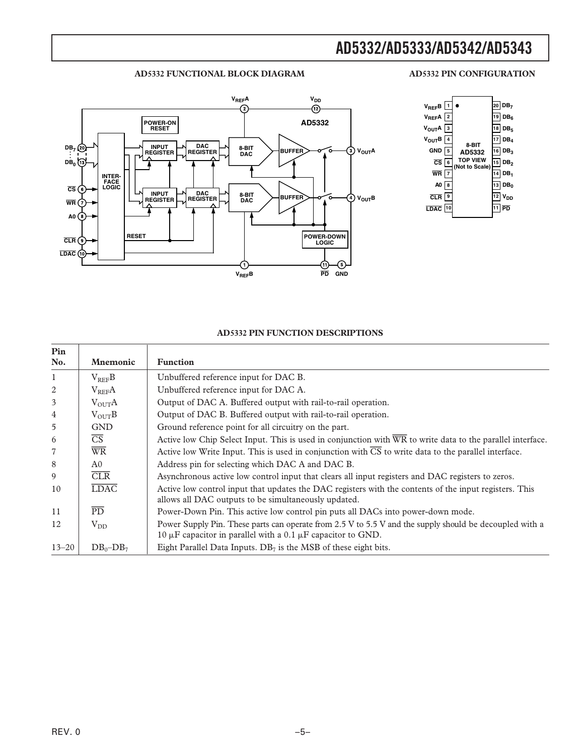#### **AD5332 FUNCTIONAL BLOCK DIAGRAM**

#### **AD5332 PIN CONFIGURATION**





#### **AD5332 PIN FUNCTION DESCRIPTIONS**

| Pin<br>No.   | <b>Mnemonic</b>          | <b>Function</b>                                                                                                                                                                  |
|--------------|--------------------------|----------------------------------------------------------------------------------------------------------------------------------------------------------------------------------|
| $\mathbf{1}$ | $V_{REF}B$               | Unbuffered reference input for DAC B.                                                                                                                                            |
| 2            | $V_{REF}A$               | Unbuffered reference input for DAC A.                                                                                                                                            |
| 3            | $V_{\text{OUT}}A$        | Output of DAC A. Buffered output with rail-to-rail operation.                                                                                                                    |
| 4            | $V_{\text{OUT}}B$        | Output of DAC B. Buffered output with rail-to-rail operation.                                                                                                                    |
| 5            | <b>GND</b>               | Ground reference point for all circuitry on the part.                                                                                                                            |
| 6            | $\overline{\text{CS}}$   | Active low Chip Select Input. This is used in conjunction with $\overline{WR}$ to write data to the parallel interface.                                                          |
| 7            | $\overline{\text{WR}}$   | Active low Write Input. This is used in conjunction with $\overline{CS}$ to write data to the parallel interface.                                                                |
| 8            | A <sub>0</sub>           | Address pin for selecting which DAC A and DAC B.                                                                                                                                 |
| 9            | CLR                      | Asynchronous active low control input that clears all input registers and DAC registers to zeros.                                                                                |
| 10           | $\overline{\text{LDAC}}$ | Active low control input that updates the DAC registers with the contents of the input registers. This<br>allows all DAC outputs to be simultaneously updated.                   |
| 11           | $\overline{PD}$          | Power-Down Pin. This active low control pin puts all DACs into power-down mode.                                                                                                  |
| 12           | $V_{DD}$                 | Power Supply Pin. These parts can operate from 2.5 V to 5.5 V and the supply should be decoupled with a<br>10 $\mu$ F capacitor in parallel with a 0.1 $\mu$ F capacitor to GND. |
| $13 - 20$    | $DB_0 - DB_7$            | Eight Parallel Data Inputs. $DB7$ is the MSB of these eight bits.                                                                                                                |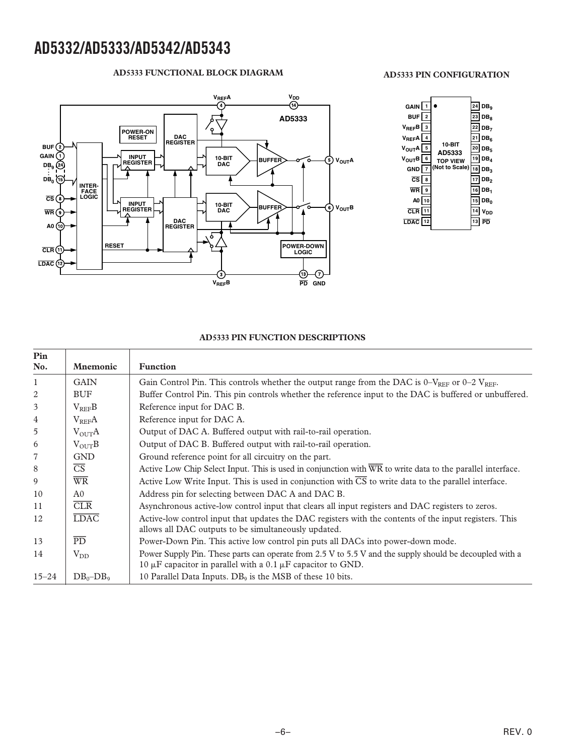#### **AD5333 FUNCTIONAL BLOCK DIAGRAM**



#### **AD5333 PIN FUNCTION DESCRIPTIONS**

| Pin<br>No.     | <b>Mnemonic</b>          | <b>Function</b>                                                                                                                                                                  |
|----------------|--------------------------|----------------------------------------------------------------------------------------------------------------------------------------------------------------------------------|
| $\mathbf{1}$   | <b>GAIN</b>              | Gain Control Pin. This controls whether the output range from the DAC is $0-\text{V}_{REF}$ or $0-2 \text{ V}_{REF}$ .                                                           |
| 2              | <b>BUF</b>               | Buffer Control Pin. This pin controls whether the reference input to the DAC is buffered or unbuffered.                                                                          |
| 3              | $V_{REF}B$               | Reference input for DAC B.                                                                                                                                                       |
| $\overline{4}$ | $V_{REF}A$               | Reference input for DAC A.                                                                                                                                                       |
| 5              | $V_{\text{OUT}}A$        | Output of DAC A. Buffered output with rail-to-rail operation.                                                                                                                    |
| 6              | $V_{\text{OUT}}B$        | Output of DAC B. Buffered output with rail-to-rail operation.                                                                                                                    |
| $\overline{7}$ | <b>GND</b>               | Ground reference point for all circuitry on the part.                                                                                                                            |
| 8              | $\overline{\text{CS}}$   | Active Low Chip Select Input. This is used in conjunction with $\overline{WR}$ to write data to the parallel interface.                                                          |
| 9              | $\overline{\text{WR}}$   | Active Low Write Input. This is used in conjunction with $\overline{CS}$ to write data to the parallel interface.                                                                |
| 10             | A <sub>0</sub>           | Address pin for selecting between DAC A and DAC B.                                                                                                                               |
| 11             | CLR                      | Asynchronous active-low control input that clears all input registers and DAC registers to zeros.                                                                                |
| 12             | $\overline{\text{LDAC}}$ | Active-low control input that updates the DAC registers with the contents of the input registers. This<br>allows all DAC outputs to be simultaneously updated.                   |
| 13             | $\overline{PD}$          | Power-Down Pin. This active low control pin puts all DACs into power-down mode.                                                                                                  |
| 14             | $V_{DD}$                 | Power Supply Pin. These parts can operate from 2.5 V to 5.5 V and the supply should be decoupled with a<br>10 $\mu$ F capacitor in parallel with a 0.1 $\mu$ F capacitor to GND. |
| $15 - 24$      | $DB_0 - DB_9$            | 10 Parallel Data Inputs. $DB_9$ is the MSB of these 10 bits.                                                                                                                     |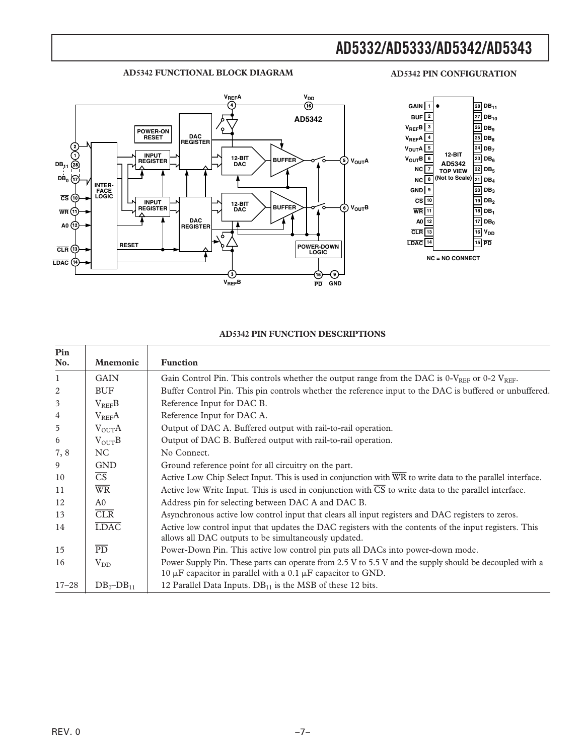#### **AD5342 FUNCTIONAL BLOCK DIAGRAM**

#### **AD5342 PIN CONFIGURATION**





#### **AD5342 PIN FUNCTION DESCRIPTIONS**

| Pin            |                        |                                                                                                                                                                                  |
|----------------|------------------------|----------------------------------------------------------------------------------------------------------------------------------------------------------------------------------|
| No.            | <b>Mnemonic</b>        | <b>Function</b>                                                                                                                                                                  |
| 1              | <b>GAIN</b>            | Gain Control Pin. This controls whether the output range from the DAC is 0- $V_{REF}$ or 0-2 $V_{REF}$ .                                                                         |
| 2              | <b>BUF</b>             | Buffer Control Pin. This pin controls whether the reference input to the DAC is buffered or unbuffered.                                                                          |
| 3              | $V_{REF}B$             | Reference Input for DAC B.                                                                                                                                                       |
| $\overline{4}$ | $V_{REF}A$             | Reference Input for DAC A.                                                                                                                                                       |
| 5              | $V_{\text{OUT}}A$      | Output of DAC A. Buffered output with rail-to-rail operation.                                                                                                                    |
| 6              | $V_{OUT}B$             | Output of DAC B. Buffered output with rail-to-rail operation.                                                                                                                    |
| 7,8            | NC                     | No Connect.                                                                                                                                                                      |
| 9              | <b>GND</b>             | Ground reference point for all circuitry on the part.                                                                                                                            |
| 10             | $\overline{\text{CS}}$ | Active Low Chip Select Input. This is used in conjunction with $\overline{WR}$ to write data to the parallel interface.                                                          |
| 11             | $\overline{\text{WR}}$ | Active low Write Input. This is used in conjunction with $\overline{CS}$ to write data to the parallel interface.                                                                |
| 12             | A <sub>0</sub>         | Address pin for selecting between DAC A and DAC B.                                                                                                                               |
| 13             | CLR                    | Asynchronous active low control input that clears all input registers and DAC registers to zeros.                                                                                |
| 14             | <b>LDAC</b>            | Active low control input that updates the DAC registers with the contents of the input registers. This<br>allows all DAC outputs to be simultaneously updated.                   |
| 15             | $\overline{PD}$        | Power-Down Pin. This active low control pin puts all DACs into power-down mode.                                                                                                  |
| 16             | $V_{DD}$               | Power Supply Pin. These parts can operate from 2.5 V to 5.5 V and the supply should be decoupled with a<br>10 $\mu$ F capacitor in parallel with a 0.1 $\mu$ F capacitor to GND. |
| $17 - 28$      | $DB_0 - DB_{11}$       | 12 Parallel Data Inputs. $DB_{11}$ is the MSB of these 12 bits.                                                                                                                  |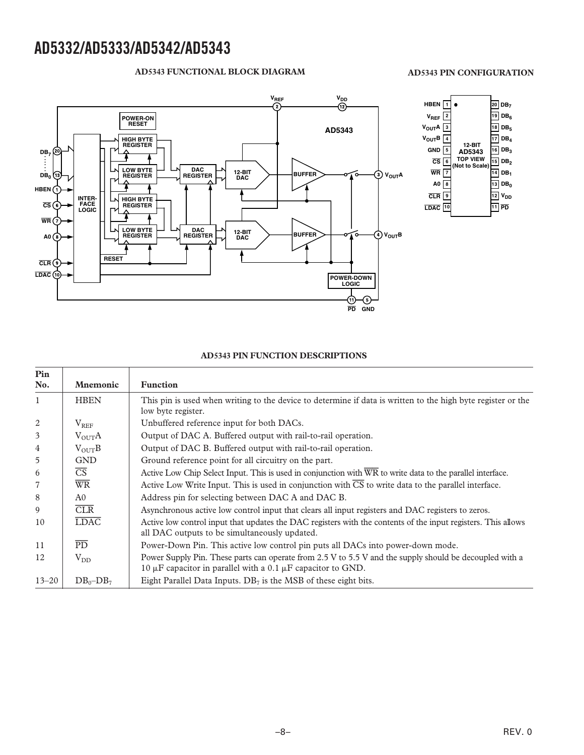#### **AD5343 FUNCTIONAL BLOCK DIAGRAM**

#### **V**<sub>REF</sub> **V**<sub>DD</sub><br>(2) (12) **POWER-ON RESET AD5343 HIGH BYTE REGISTER** (20 **. . DB7 . . . . DB0 LOW BYTE REGISTER DAC REGISTER 12-BIT DAC BUFFER VOUTA** Gs **HBEN INTER-FACE LOGIC HIGH BYTE REGISTER CS WR LOW BYTE REGISTER DAC REGISTER 12-BIT DAC BUFFER VOUTB A0** ö **RESET CLR** LDAC<sup>(10)</sup> **POWER-DOWN LOGIC** ⊕ ઉ **GND PD**



#### **AD5343 PIN FUNCTION DESCRIPTIONS**

| Pin<br>No.     | <b>Mnemonic</b>        | <b>Function</b>                                                                                                                                                                  |
|----------------|------------------------|----------------------------------------------------------------------------------------------------------------------------------------------------------------------------------|
| $\mathbf{1}$   | <b>HBEN</b>            | This pin is used when writing to the device to determine if data is written to the high byte register or the<br>low byte register.                                               |
| 2              | $\rm V_{REF}$          | Unbuffered reference input for both DACs.                                                                                                                                        |
| 3              | $V_{\text{OUT}}A$      | Output of DAC A. Buffered output with rail-to-rail operation.                                                                                                                    |
| 4              | $V_{\text{OUT}}B$      | Output of DAC B. Buffered output with rail-to-rail operation.                                                                                                                    |
| 5              | <b>GND</b>             | Ground reference point for all circuitry on the part.                                                                                                                            |
| 6              | $\overline{\text{CS}}$ | Active Low Chip Select Input. This is used in conjunction with $\overline{WR}$ to write data to the parallel interface.                                                          |
| $\overline{7}$ | $\overline{\text{WR}}$ | Active Low Write Input. This is used in conjunction with $\overline{\text{CS}}$ to write data to the parallel interface.                                                         |
| 8              | A <sub>0</sub>         | Address pin for selecting between DAC A and DAC B.                                                                                                                               |
| 9              | CLR                    | Asynchronous active low control input that clears all input registers and DAC registers to zeros.                                                                                |
| 10             | <b>LDAC</b>            | Active low control input that updates the DAC registers with the contents of the input registers. This allows<br>all DAC outputs to be simultaneously updated.                   |
| 11             | PD.                    | Power-Down Pin. This active low control pin puts all DACs into power-down mode.                                                                                                  |
| 12             | $\rm V_{DD}$           | Power Supply Pin. These parts can operate from 2.5 V to 5.5 V and the supply should be decoupled with a<br>10 $\mu$ F capacitor in parallel with a 0.1 $\mu$ F capacitor to GND. |
| $13 - 20$      | $DB_0 - DB_7$          | Eight Parallel Data Inputs. $DB7$ is the MSB of these eight bits.                                                                                                                |

**AD5343 PIN CONFIGURATION**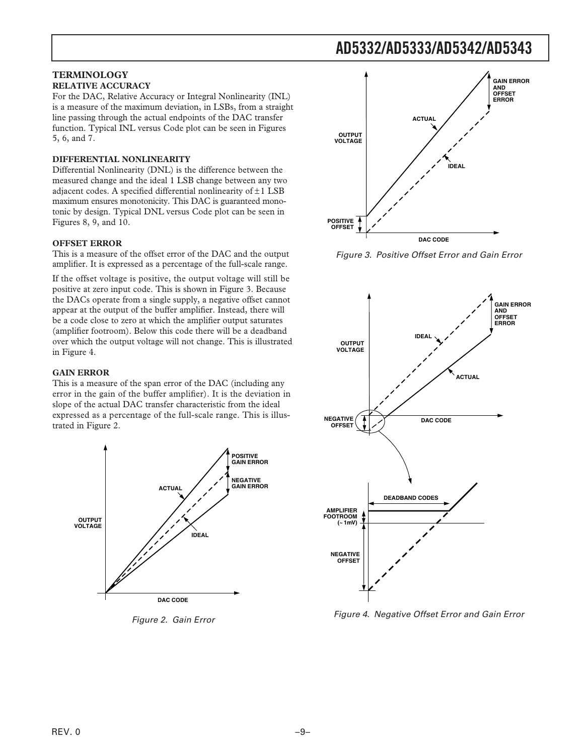#### **TERMINOLOGY RELATIVE ACCURACY**

For the DAC, Relative Accuracy or Integral Nonlinearity (INL) is a measure of the maximum deviation, in LSBs, from a straight line passing through the actual endpoints of the DAC transfer function. Typical INL versus Code plot can be seen in Figures 5, 6, and 7.

#### **DIFFERENTIAL NONLINEARITY**

Differential Nonlinearity (DNL) is the difference between the measured change and the ideal 1 LSB change between any two adjacent codes. A specified differential nonlinearity of  $\pm 1$  LSB maximum ensures monotonicity. This DAC is guaranteed monotonic by design. Typical DNL versus Code plot can be seen in Figures 8, 9, and 10.

#### **OFFSET ERROR**

This is a measure of the offset error of the DAC and the output amplifier. It is expressed as a percentage of the full-scale range.

If the offset voltage is positive, the output voltage will still be positive at zero input code. This is shown in Figure 3. Because the DACs operate from a single supply, a negative offset cannot appear at the output of the buffer amplifier. Instead, there will be a code close to zero at which the amplifier output saturates (amplifier footroom). Below this code there will be a deadband over which the output voltage will not change. This is illustrated in Figure 4.

#### **GAIN ERROR**

This is a measure of the span error of the DAC (including any error in the gain of the buffer amplifier). It is the deviation in slope of the actual DAC transfer characteristic from the ideal expressed as a percentage of the full-scale range. This is illustrated in Figure 2.



Figure 2. Gain Error



Figure 3. Positive Offset Error and Gain Error



Figure 4. Negative Offset Error and Gain Error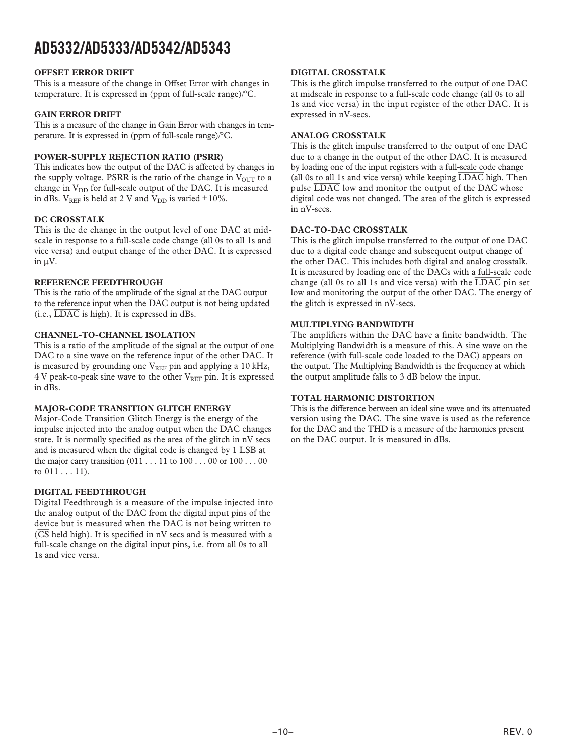#### **OFFSET ERROR DRIFT**

This is a measure of the change in Offset Error with changes in temperature. It is expressed in (ppm of full-scale range)/°C.

#### **GAIN ERROR DRIFT**

This is a measure of the change in Gain Error with changes in temperature. It is expressed in (ppm of full-scale range)/°C.

#### **POWER-SUPPLY REJECTION RATIO (PSRR)**

This indicates how the output of the DAC is affected by changes in the supply voltage. PSRR is the ratio of the change in  $V_{\text{OUT}}$  to a change in  $V_{DD}$  for full-scale output of the DAC. It is measured in dBs.  $V_{REF}$  is held at 2 V and  $V_{DD}$  is varied  $\pm 10\%$ .

#### **DC CROSSTALK**

This is the dc change in the output level of one DAC at midscale in response to a full-scale code change (all 0s to all 1s and vice versa) and output change of the other DAC. It is expressed in µV.

#### **REFERENCE FEEDTHROUGH**

This is the ratio of the amplitude of the signal at the DAC output to the reference input when the DAC output is not being updated (i.e., *LDAC* is high). It is expressed in dBs.

#### **CHANNEL-TO-CHANNEL ISOLATION**

This is a ratio of the amplitude of the signal at the output of one DAC to a sine wave on the reference input of the other DAC. It is measured by grounding one  $V_{REF}$  pin and applying a 10 kHz, 4 V peak-to-peak sine wave to the other V<sub>REF</sub> pin. It is expressed in dBs.

#### **MAJOR-CODE TRANSITION GLITCH ENERGY**

Major-Code Transition Glitch Energy is the energy of the impulse injected into the analog output when the DAC changes state. It is normally specified as the area of the glitch in nV secs and is measured when the digital code is changed by 1 LSB at the major carry transition  $(011 \dots 11$  to  $100 \dots 00$  or  $100 \dots 00$ to 011 . . . 11).

#### **DIGITAL FEEDTHROUGH**

Digital Feedthrough is a measure of the impulse injected into the analog output of the DAC from the digital input pins of the device but is measured when the DAC is not being written to (*CS* held high). It is specified in nV secs and is measured with a full-scale change on the digital input pins, i.e. from all 0s to all 1s and vice versa.

#### **DIGITAL CROSSTALK**

This is the glitch impulse transferred to the output of one DAC at midscale in response to a full-scale code change (all 0s to all 1s and vice versa) in the input register of the other DAC. It is expressed in nV-secs.

#### **ANALOG CROSSTALK**

This is the glitch impulse transferred to the output of one DAC due to a change in the output of the other DAC. It is measured by loading one of the input registers with a full-scale code change (all 0s to all 1s and vice versa) while keeping *LDAC* high. Then pulse *LDAC* low and monitor the output of the DAC whose digital code was not changed. The area of the glitch is expressed in nV-secs.

#### **DAC-TO-DAC CROSSTALK**

This is the glitch impulse transferred to the output of one DAC due to a digital code change and subsequent output change of the other DAC. This includes both digital and analog crosstalk. It is measured by loading one of the DACs with a full-scale code change (all 0s to all 1s and vice versa) with the *LDAC* pin set low and monitoring the output of the other DAC. The energy of the glitch is expressed in nV-secs.

#### **MULTIPLYING BANDWIDTH**

The amplifiers within the DAC have a finite bandwidth. The Multiplying Bandwidth is a measure of this. A sine wave on the reference (with full-scale code loaded to the DAC) appears on the output. The Multiplying Bandwidth is the frequency at which the output amplitude falls to 3 dB below the input.

#### **TOTAL HARMONIC DISTORTION**

This is the difference between an ideal sine wave and its attenuated version using the DAC. The sine wave is used as the reference for the DAC and the THD is a measure of the harmonics present on the DAC output. It is measured in dBs.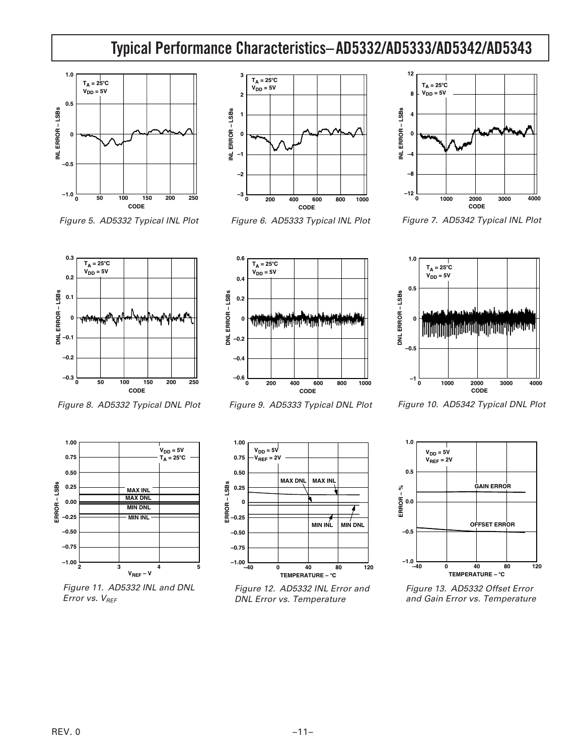# **AD5332/AD5333/AD5342/AD5343 Typical Performance Characteristics–**



Figure 5. AD5332 Typical INL Plot



Figure 6. AD5333 Typical INL Plot



Figure 7. AD5342 Typical INL Plot



Figure 8. AD5332 Typical DNL Plot



Figure 9. AD5333 Typical DNL Plot



Figure 10. AD5342 Typical DNL Plot



Figure 11. AD5332 INL and DNL Error vs.  $V_{REF}$ 



Figure 12. AD5332 INL Error and DNL Error vs. Temperature



Figure 13. AD5332 Offset Error and Gain Error vs. Temperature

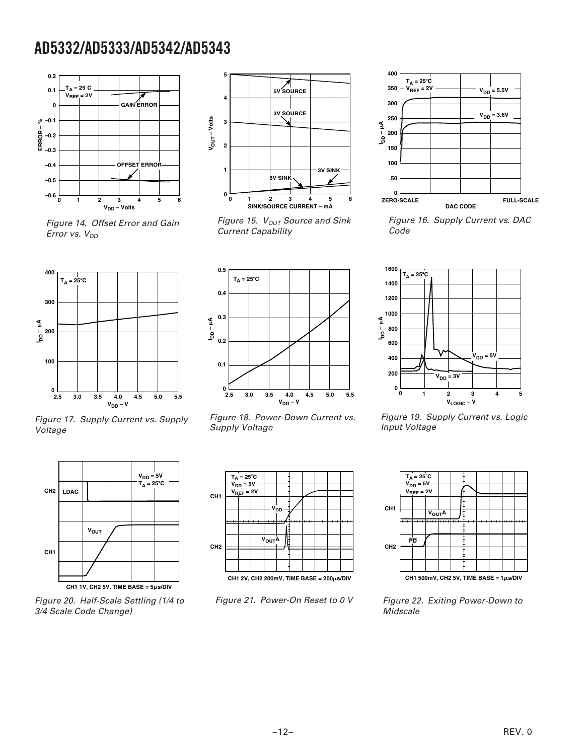

Figure 14. Offset Error and Gain Error vs.  $V_{DD}$ 



Figure 15.  $V_{OUT}$  Source and Sink Current Capability



Figure 17. Supply Current vs. Supply Voltage



Figure 18. Power-Down Current vs. Supply Voltage



Figure 16. Supply Current vs. DAC Code



Figure 19. Supply Current vs. Logic Input Voltage



Figure 20. Half-Scale Settling (1/4 to 3/4 Scale Code Change)



Figure 21. Power-On Reset to 0 V



Figure 22. Exiting Power-Down to **Midscale**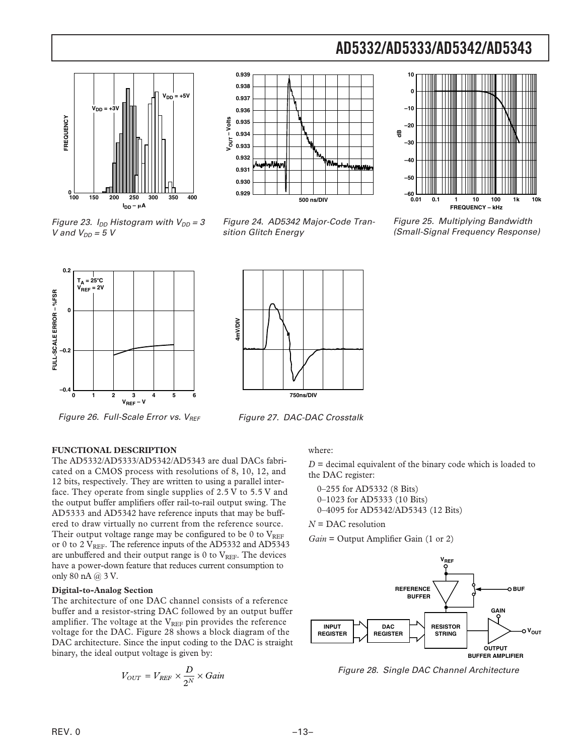

Figure 23.  $I_{DD}$  Histogram with  $V_{DD} = 3$ 

V and  $V_{DD} = 5 V$ 



Figure 24. AD5342 Major-Code Transition Glitch Energy



Figure 25. Multiplying Bandwidth (Small-Signal Frequency Response)



Figure 26. Full-Scale Error vs.  $V_{REF}$ 



Figure 27. DAC-DAC Crosstalk

#### **FUNCTIONAL DESCRIPTION**

The AD5332/AD5333/AD5342/AD5343 are dual DACs fabricated on a CMOS process with resolutions of 8, 10, 12, and 12 bits, respectively. They are written to using a parallel interface. They operate from single supplies of 2.5 V to 5.5 V and the output buffer amplifiers offer rail-to-rail output swing. The AD5333 and AD5342 have reference inputs that may be buffered to draw virtually no current from the reference source. Their output voltage range may be configured to be 0 to  $V_{REF}$ or 0 to 2 VREF. The reference inputs of the AD5332 and AD5343 are unbuffered and their output range is  $0$  to  $V<sub>REF</sub>$ . The devices have a power-down feature that reduces current consumption to only 80 nA @ 3 V.

#### **Digital-to-Analog Section**

The architecture of one DAC channel consists of a reference buffer and a resistor-string DAC followed by an output buffer amplifier. The voltage at the  $V_{REF}$  pin provides the reference voltage for the DAC. Figure 28 shows a block diagram of the DAC architecture. Since the input coding to the DAC is straight binary, the ideal output voltage is given by:

$$
V_{OUT} = V_{REF} \times \frac{D}{2^N} \times Gain
$$

#### where:

*D* = decimal equivalent of the binary code which is loaded to the DAC register:

0–255 for AD5332 (8 Bits) 0–1023 for AD5333 (10 Bits) 0–4095 for AD5342/AD5343 (12 Bits)

*N* = DAC resolution

*Gain* = Output Amplifier Gain (1 or 2)



Figure 28. Single DAC Channel Architecture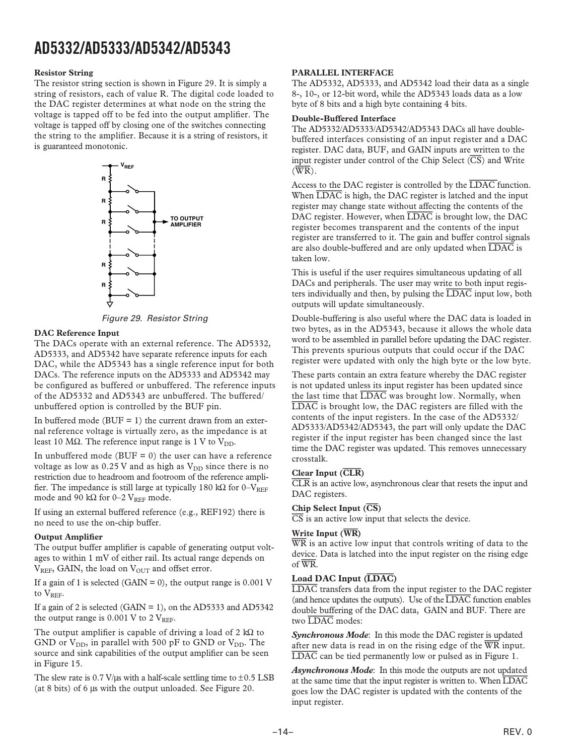#### **Resistor String**

The resistor string section is shown in Figure 29. It is simply a string of resistors, each of value R. The digital code loaded to the DAC register determines at what node on the string the voltage is tapped off to be fed into the output amplifier. The voltage is tapped off by closing one of the switches connecting the string to the amplifier. Because it is a string of resistors, it is guaranteed monotonic.



Figure 29. Resistor String

#### **DAC Reference Input**

The DACs operate with an external reference. The AD5332, AD5333, and AD5342 have separate reference inputs for each DAC, while the AD5343 has a single reference input for both DACs. The reference inputs on the AD5333 and AD5342 may be configured as buffered or unbuffered. The reference inputs of the AD5332 and AD5343 are unbuffered. The buffered/ unbuffered option is controlled by the BUF pin.

In buffered mode ( $BUF = 1$ ) the current drawn from an external reference voltage is virtually zero, as the impedance is at least 10 MΩ. The reference input range is 1 V to  $V_{DD}$ .

In unbuffered mode ( $BUF = 0$ ) the user can have a reference voltage as low as  $0.25$  V and as high as  $V_{DD}$  since there is no restriction due to headroom and footroom of the reference amplifier. The impedance is still large at typically 180 k $\Omega$  for 0–V<sub>REF</sub> mode and 90 kΩ for 0–2 VREF mode.

If using an external buffered reference (e.g., REF192) there is no need to use the on-chip buffer.

#### **Output Amplifier**

The output buffer amplifier is capable of generating output voltages to within 1 mV of either rail. Its actual range depends on  $V_{REF}$ , GAIN, the load on  $V_{OUT}$  and offset error.

If a gain of 1 is selected (GAIN = 0), the output range is  $0.001$  V to V<sub>REF</sub>.

If a gain of 2 is selected (GAIN = 1), on the AD5333 and AD5342 the output range is  $0.001$  V to  $2$  V<sub>REF</sub>.

The output amplifier is capable of driving a load of 2 kΩ to GND or  $V_{DD}$ , in parallel with 500 pF to GND or  $V_{DD}$ . The source and sink capabilities of the output amplifier can be seen in Figure 15.

The slew rate is  $0.7$  V/ $\mu$ s with a half-scale settling time to  $\pm 0.5$  LSB (at 8 bits) of 6 µs with the output unloaded. See Figure 20.

#### **PARALLEL INTERFACE**

The AD5332, AD5333, and AD5342 load their data as a single 8-, 10-, or 12-bit word, while the AD5343 loads data as a low byte of 8 bits and a high byte containing 4 bits.

#### **Double-Buffered Interface**

The AD5332/AD5333/AD5342/AD5343 DACs all have doublebuffered interfaces consisting of an input register and a DAC register. DAC data, BUF, and GAIN inputs are written to the input register under control of the Chip Select (*CS*) and Write (*WR*).

Access to the DAC register is controlled by the *LDAC* function. When *LDAC* is high, the DAC register is latched and the input register may change state without affecting the contents of the DAC register. However, when *LDAC* is brought low, the DAC register becomes transparent and the contents of the input register are transferred to it. The gain and buffer control signals are also double-buffered and are only updated when *LDAC* is taken low.

This is useful if the user requires simultaneous updating of all DACs and peripherals. The user may write to both input registers individually and then, by pulsing the *LDAC* input low, both outputs will update simultaneously.

Double-buffering is also useful where the DAC data is loaded in two bytes, as in the AD5343, because it allows the whole data word to be assembled in parallel before updating the DAC register. This prevents spurious outputs that could occur if the DAC register were updated with only the high byte or the low byte.

These parts contain an extra feature whereby the DAC register is not updated unless its input register has been updated since the last time that *LDAC* was brought low. Normally, when *LDAC* is brought low, the DAC registers are filled with the contents of the input registers. In the case of the AD5332/ AD5333/AD5342/AD5343, the part will only update the DAC register if the input register has been changed since the last time the DAC register was updated. This removes unnecessary crosstalk.

#### **Clear Input (CLR)**

*CLR* is an active low, asynchronous clear that resets the input and DAC registers.

#### **Chip Select Input (CS)**

*CS* is an active low input that selects the device.

#### **Write Input (WR)**

*WR* is an active low input that controls writing of data to the device. Data is latched into the input register on the rising edge of *WR*.

#### **Load DAC Input (LDAC)**

*LDAC* transfers data from the input register to the DAC register (and hence updates the outputs). Use of the *LDAC* function enables double buffering of the DAC data, GAIN and BUF. There are two *LDAC* modes:

*Synchronous Mode*: In this mode the DAC register is updated after new data is read in on the rising edge of the *WR* input. *LDAC* can be tied permanently low or pulsed as in Figure 1.

*Asynchronous Mode*: In this mode the outputs are not updated at the same time that the input register is written to. When *LDAC* goes low the DAC register is updated with the contents of the input register.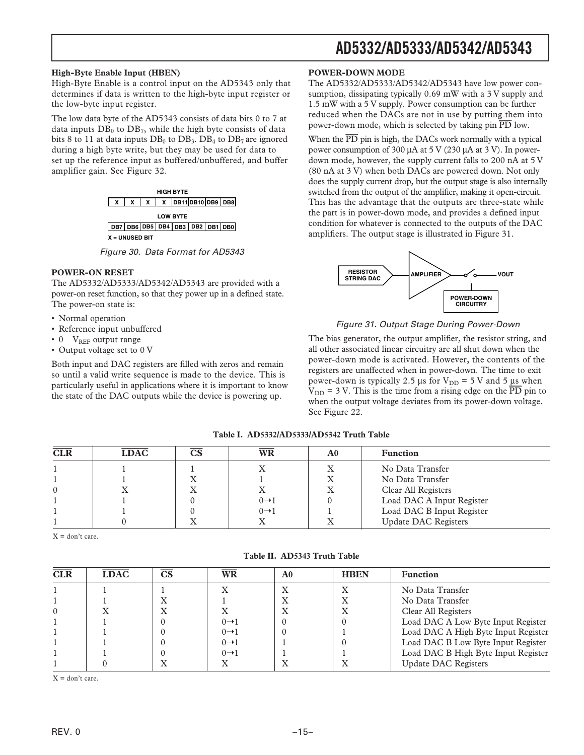#### **High-Byte Enable Input (HBEN)**

High-Byte Enable is a control input on the AD5343 only that determines if data is written to the high-byte input register or the low-byte input register.

The low data byte of the AD5343 consists of data bits 0 to 7 at data inputs  $DB_0$  to  $DB_7$ , while the high byte consists of data bits 8 to 11 at data inputs  $DB_0$  to  $DB_3$ .  $DB_4$  to  $DB_7$  are ignored during a high byte write, but they may be used for data to set up the reference input as buffered/unbuffered, and buffer amplifier gain. See Figure 32.



Figure 30. Data Format for AD5343

#### **POWER-ON RESET**

The AD5332/AD5333/AD5342/AD5343 are provided with a power-on reset function, so that they power up in a defined state. The power-on state is:

- Normal operation
- Reference input unbuffered
- $0 V_{REF}$  output range
- Output voltage set to 0 V

Both input and DAC registers are filled with zeros and remain so until a valid write sequence is made to the device. This is particularly useful in applications where it is important to know the state of the DAC outputs while the device is powering up.

#### **POWER-DOWN MODE**

The AD5332/AD5333/AD5342/AD5343 have low power consumption, dissipating typically 0.69 mW with a 3 V supply and 1.5 mW with a 5 V supply. Power consumption can be further reduced when the DACs are not in use by putting them into power-down mode, which is selected by taking pin *PD* low.

When the *PD* pin is high, the DACs work normally with a typical power consumption of 300 µA at 5 V (230 µA at 3 V). In powerdown mode, however, the supply current falls to 200 nA at 5 V (80 nA at 3 V) when both DACs are powered down. Not only does the supply current drop, but the output stage is also internally switched from the output of the amplifier, making it open-circuit. This has the advantage that the outputs are three-state while the part is in power-down mode, and provides a defined input condition for whatever is connected to the outputs of the DAC amplifiers. The output stage is illustrated in Figure 31.



#### Figure 31. Output Stage During Power-Down

The bias generator, the output amplifier, the resistor string, and all other associated linear circuitry are all shut down when the power-down mode is activated. However, the contents of the registers are unaffected when in power-down. The time to exit power-down is typically 2.5  $\mu$ s for V<sub>DD</sub> = 5 V and 5  $\mu$ s when  $V_{DD}$  = 3 V. This is the time from a rising edge on the  $\overline{PD}$  pin to when the output voltage deviates from its power-down voltage. See Figure 22.

| CLR      | <b>LDAC</b> | $\overline{\text{CS}}$ | WR                | A0 | <b>Function</b>             |
|----------|-------------|------------------------|-------------------|----|-----------------------------|
|          |             |                        |                   |    | No Data Transfer            |
|          |             |                        |                   |    | No Data Transfer            |
| $\Omega$ |             |                        |                   |    | Clear All Registers         |
|          |             |                        | $0 \rightarrow 1$ |    | Load DAC A Input Register   |
|          |             |                        | $0 \rightarrow 1$ |    | Load DAC B Input Register   |
|          |             |                        |                   |    | <b>Update DAC Registers</b> |

#### **Table I. AD5332/AD5333/AD5342 Truth Table**

 $X =$  don't care.

| CLR      | <b>LDAC</b> | $\overline{\text{CS}}$    | $\overline{\text{WR}}$ | A0        | <b>HBEN</b> | <b>Function</b>                     |
|----------|-------------|---------------------------|------------------------|-----------|-------------|-------------------------------------|
|          |             |                           |                        | $\Lambda$ | ́́          | No Data Transfer                    |
|          |             | X                         |                        |           | ́△          | No Data Transfer                    |
| $\Omega$ |             | $\boldsymbol{\mathrm{X}}$ |                        |           | X           | Clear All Registers                 |
|          |             |                           | $0 \rightarrow 1$      |           |             | Load DAC A Low Byte Input Register  |
|          |             |                           | $0 \rightarrow 1$      |           |             | Load DAC A High Byte Input Register |
|          |             |                           | $0 \rightarrow 1$      |           |             | Load DAC B Low Byte Input Register  |
|          |             |                           | $0 \rightarrow 1$      |           |             | Load DAC B High Byte Input Register |
|          |             |                           |                        |           |             | <b>Update DAC Registers</b>         |
|          |             |                           |                        |           |             |                                     |

**Table II. AD5343 Truth Table**

 $X = \text{dom't care}$ .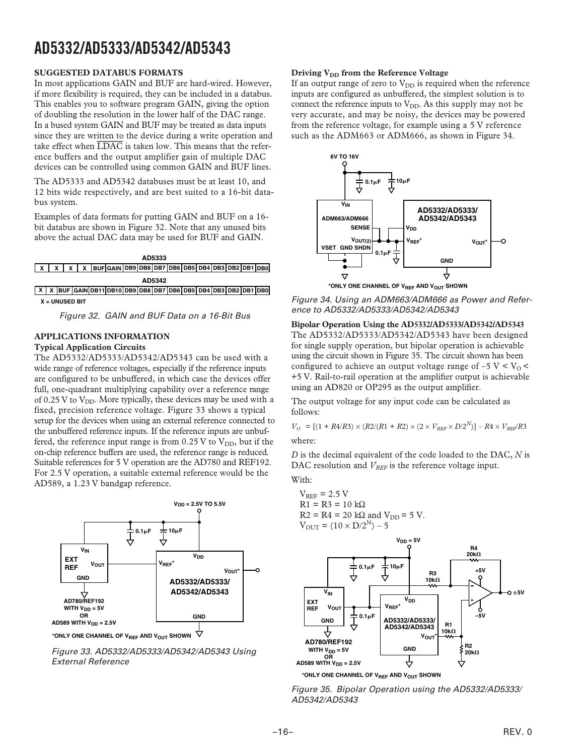#### **SUGGESTED DATABUS FORMATS**

In most applications GAIN and BUF are hard-wired. However, if more flexibility is required, they can be included in a databus. This enables you to software program GAIN, giving the option of doubling the resolution in the lower half of the DAC range. In a bused system GAIN and BUF may be treated as data inputs since they are written to the device during a write operation and take effect when *LDAC* is taken low. This means that the reference buffers and the output amplifier gain of multiple DAC devices can be controlled using common GAIN and BUF lines.

The AD5333 and AD5342 databuses must be at least 10, and 12 bits wide respectively, and are best suited to a 16-bit databus system.

Examples of data formats for putting GAIN and BUF on a 16 bit databus are shown in Figure 32. Note that any unused bits above the actual DAC data may be used for BUF and GAIN.

| AD5333 |  |  |  |  |                                                                    |  |  |  |  |  |  |  |  |  |  |
|--------|--|--|--|--|--------------------------------------------------------------------|--|--|--|--|--|--|--|--|--|--|
|        |  |  |  |  | $x   x   x$   x   buF GAIN DB9 DB8 DB7 DB6 DB5 DB4 DB3 DB2 DB1 DB0 |  |  |  |  |  |  |  |  |  |  |
| AD5342 |  |  |  |  |                                                                    |  |  |  |  |  |  |  |  |  |  |

**X X GAIN DB9 DB8 DB7 DB6 DB5 DB4 DB3 DB2 DB1 DB0 BUF DB11 DB10 X = UNUSED BIT**

Figure 32. GAIN and BUF Data on a 16-Bit Bus

#### **APPLICATIONS INFORMATION**

#### **Typical Application Circuits**

The AD5332/AD5333/AD5342/AD5343 can be used with a wide range of reference voltages, especially if the reference inputs are configured to be unbuffered, in which case the devices offer full, one-quadrant multiplying capability over a reference range of 0.25 V to  $V_{DD}$ . More typically, these devices may be used with a fixed, precision reference voltage. Figure 33 shows a typical setup for the devices when using an external reference connected to the unbuffered reference inputs. If the reference inputs are unbuffered, the reference input range is from  $0.25$  V to  $V_{DD}$ , but if the on-chip reference buffers are used, the reference range is reduced. Suitable references for 5 V operation are the AD780 and REF192. For 2.5 V operation, a suitable external reference would be the AD589, a 1.23 V bandgap reference.



\*ONLY ONE CHANNEL OF V<sub>REF</sub> AND V<sub>OUT</sub> SHOWN

Figure 33. AD5332/AD5333/AD5342/AD5343 Using External Reference

#### **Driving V<sub>DD</sub> from the Reference Voltage**

If an output range of zero to  $V_{DD}$  is required when the reference inputs are configured as unbuffered, the simplest solution is to connect the reference inputs to  $V_{DD}$ . As this supply may not be very accurate, and may be noisy, the devices may be powered from the reference voltage, for example using a 5 V reference such as the ADM663 or ADM666, as shown in Figure 34.



Figure 34. Using an ADM663/ADM666 as Power and Reference to AD5332/AD5333/AD5342/AD5343

#### **Bipolar Operation Using the AD5332/AD5333/AD5342/AD5343**

The AD5332/AD5333/AD5342/AD5343 have been designed for single supply operation, but bipolar operation is achievable using the circuit shown in Figure 35. The circuit shown has been configured to achieve an output voltage range of  $-5$  V < V<sub>0</sub> < +5 V. Rail-to-rail operation at the amplifier output is achievable using an AD820 or OP295 as the output amplifier.

The output voltage for any input code can be calculated as follows:

$$
V_O = [(1 + R4/R3) \times (R2/(R1 + R2) \times (2 \times V_{REF} \times D/2^N)] - R4 \times V_{REF}/R3
$$
 where:

*D* is the decimal equivalent of the code loaded to the DAC, *N* is DAC resolution and  $V_{REF}$  is the reference voltage input.

With:

$$
V_{REF} = 2.5 V
$$
  
R1 = R3 = 10 kΩ  
R2 = R4 = 20 kΩ and V<sub>DD</sub> = 5 V.  
V<sub>OUT</sub> = (10 × D/2<sup>N</sup>) – 5



**\*ONLY ONE CHANNEL OF VREF AND VOUT SHOWN**

Figure 35. Bipolar Operation using the AD5332/AD5333/ AD5342/AD5343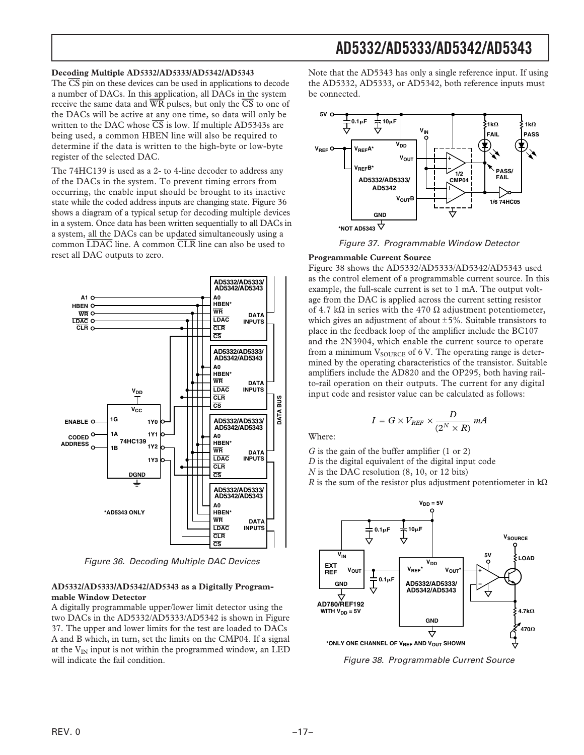#### **Decoding Multiple AD5332/AD5333/AD5342/AD5343**

The *CS* pin on these devices can be used in applications to decode a number of DACs. In this application, all DACs in the system receive the same data and *WR* pulses, but only the *CS* to one of the DACs will be active at any one time, so data will only be written to the DAC whose  $\overline{CS}$  is low. If multiple AD5343s are being used, a common HBEN line will also be required to determine if the data is written to the high-byte or low-byte register of the selected DAC.

The 74HC139 is used as a 2- to 4-line decoder to address any of the DACs in the system. To prevent timing errors from occurring, the enable input should be brought to its inactive state while the coded address inputs are changing state. Figure 36 shows a diagram of a typical setup for decoding multiple devices in a system. Once data has been written sequentially to all DACs in a system, all the DACs can be updated simultaneously using a common *LDAC* line. A common *CLR* line can also be used to reset all DAC outputs to zero.



Figure 36. Decoding Multiple DAC Devices

#### **AD5332/AD5333/AD5342/AD5343 as a Digitally Programmable Window Detector**

A digitally programmable upper/lower limit detector using the two DACs in the AD5332/AD5333/AD5342 is shown in Figure 37. The upper and lower limits for the test are loaded to DACs A and B which, in turn, set the limits on the CMP04. If a signal at the  $V_{IN}$  input is not within the programmed window, an LED will indicate the fail condition.

Note that the AD5343 has only a single reference input. If using the AD5332, AD5333, or AD5342, both reference inputs must be connected.



Figure 37. Programmable Window Detector

#### **Programmable Current Source**

Figure 38 shows the AD5332/AD5333/AD5342/AD5343 used as the control element of a programmable current source. In this example, the full-scale current is set to 1 mA. The output voltage from the DAC is applied across the current setting resistor of 4.7 k $\Omega$  in series with the 470  $\Omega$  adjustment potentiometer, which gives an adjustment of about  $\pm 5\%$ . Suitable transistors to place in the feedback loop of the amplifier include the BC107 and the 2N3904, which enable the current source to operate from a minimum  $V_{\text{SOLRCE}}$  of 6 V. The operating range is determined by the operating characteristics of the transistor. Suitable amplifiers include the AD820 and the OP295, both having railto-rail operation on their outputs. The current for any digital input code and resistor value can be calculated as follows:

$$
I = G \times V_{REF} \times \frac{D}{(2^N \times R)} \; mA
$$

Where:

*G* is the gain of the buffer amplifier (1 or 2)

*D* is the digital equivalent of the digital input code

*N* is the DAC resolution (8, 10, or 12 bits)

*R* is the sum of the resistor plus adjustment potentiometer in  $k\Omega$ 



Figure 38. Programmable Current Source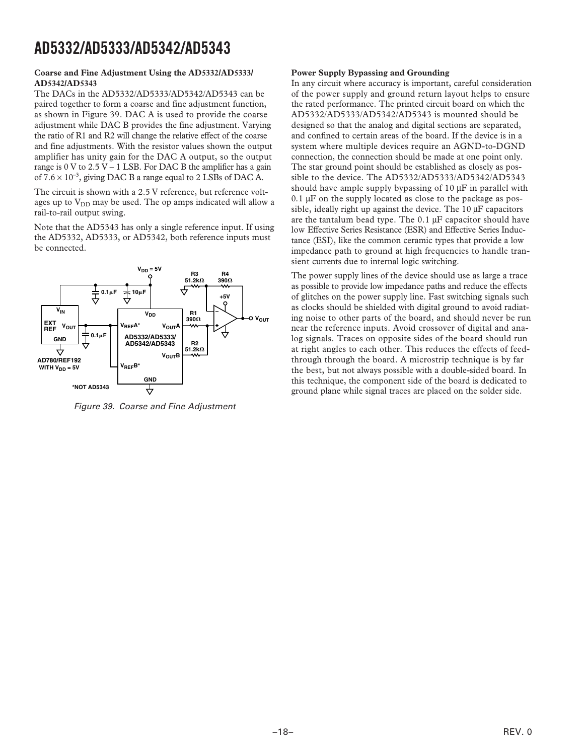#### **Coarse and Fine Adjustment Using the AD5332/AD5333/ AD5342/AD5343**

The DACs in the AD5332/AD5333/AD5342/AD5343 can be paired together to form a coarse and fine adjustment function, as shown in Figure 39. DAC A is used to provide the coarse adjustment while DAC B provides the fine adjustment. Varying the ratio of R1 and R2 will change the relative effect of the coarse and fine adjustments. With the resistor values shown the output amplifier has unity gain for the DAC A output, so the output range is  $0 \text{ V}$  to  $2.5 \text{ V}$  – 1 LSB. For DAC B the amplifier has a gain of  $7.6 \times 10^{-3}$ , giving DAC B a range equal to 2 LSBs of DAC A.

The circuit is shown with a 2.5 V reference, but reference voltages up to  $V_{DD}$  may be used. The op amps indicated will allow a rail-to-rail output swing.

Note that the AD5343 has only a single reference input. If using the AD5332, AD5333, or AD5342, both reference inputs must be connected.



Figure 39. Coarse and Fine Adjustment

#### **Power Supply Bypassing and Grounding**

In any circuit where accuracy is important, careful consideration of the power supply and ground return layout helps to ensure the rated performance. The printed circuit board on which the AD5332/AD5333/AD5342/AD5343 is mounted should be designed so that the analog and digital sections are separated, and confined to certain areas of the board. If the device is in a system where multiple devices require an AGND-to-DGND connection, the connection should be made at one point only. The star ground point should be established as closely as possible to the device. The AD5332/AD5333/AD5342/AD5343 should have ample supply bypassing of  $10 \mu$ F in parallel with  $0.1 \mu$ F on the supply located as close to the package as possible, ideally right up against the device. The 10 µF capacitors are the tantalum bead type. The 0.1 µF capacitor should have low Effective Series Resistance (ESR) and Effective Series Inductance (ESI), like the common ceramic types that provide a low impedance path to ground at high frequencies to handle transient currents due to internal logic switching.

The power supply lines of the device should use as large a trace as possible to provide low impedance paths and reduce the effects of glitches on the power supply line. Fast switching signals such as clocks should be shielded with digital ground to avoid radiating noise to other parts of the board, and should never be run near the reference inputs. Avoid crossover of digital and analog signals. Traces on opposite sides of the board should run at right angles to each other. This reduces the effects of feedthrough through the board. A microstrip technique is by far the best, but not always possible with a double-sided board. In this technique, the component side of the board is dedicated to ground plane while signal traces are placed on the solder side.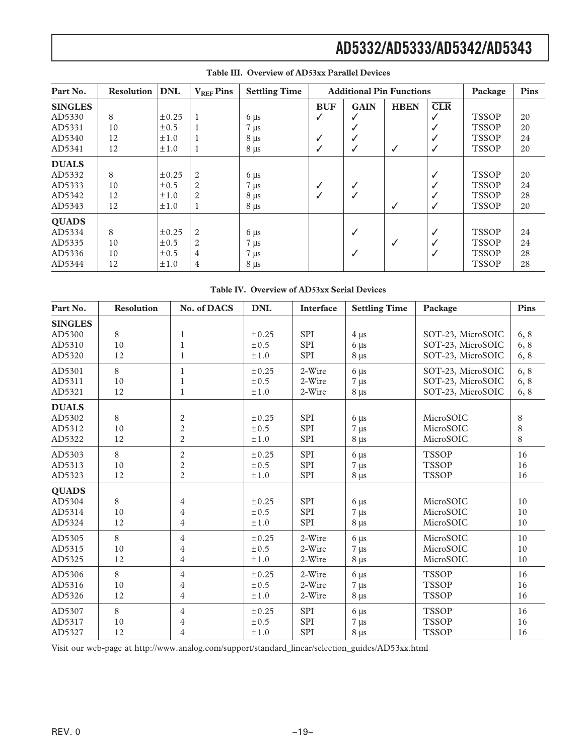| Part No.       | <b>Resolution</b> | <b>DNL</b> | $V_{REF}$ Pins | <b>Settling Time</b> |              | <b>Additional Pin Functions</b> | Package      | Pins |              |    |
|----------------|-------------------|------------|----------------|----------------------|--------------|---------------------------------|--------------|------|--------------|----|
| <b>SINGLES</b> |                   |            |                |                      | <b>BUF</b>   | <b>GAIN</b>                     | <b>HBEN</b>  | CLR  |              |    |
| AD5330         | 8                 | $\pm 0.25$ | 1              | $6 \mu s$            | $\checkmark$ |                                 |              | ✓    | <b>TSSOP</b> | 20 |
| AD5331         | 10                | $\pm 0.5$  |                | $7 \mu s$            |              |                                 |              |      | <b>TSSOP</b> | 20 |
| AD5340         | 12                | $\pm 1.0$  |                | $8 \mu s$            | ✓            |                                 |              |      | <b>TSSOP</b> | 24 |
| AD5341         | 12                | $\pm 1.0$  | 1              | $8 \mu s$            | $\checkmark$ |                                 | ✓            | ✓    | <b>TSSOP</b> | 20 |
| <b>DUALS</b>   |                   |            |                |                      |              |                                 |              |      |              |    |
| AD5332         | 8                 | $\pm 0.25$ | 2              | $6 \mu s$            |              |                                 |              |      | <b>TSSOP</b> | 20 |
| AD5333         | 10                | $\pm 0.5$  | $\overline{2}$ | $7 \mu s$            | √            |                                 |              |      | <b>TSSOP</b> | 24 |
| AD5342         | 12                | $\pm 1.0$  | 2              | $8 \mu s$            | √            |                                 |              |      | <b>TSSOP</b> | 28 |
| AD5343         | 12                | $\pm 1.0$  |                | $8 \mu s$            |              |                                 | ✓            | ✓    | <b>TSSOP</b> | 20 |
| <b>QUADS</b>   |                   |            |                |                      |              |                                 |              |      |              |    |
| AD5334         | 8                 | $\pm 0.25$ | $\overline{2}$ | $6 \mu s$            |              |                                 |              |      | <b>TSSOP</b> | 24 |
| AD5335         | 10                | $\pm 0.5$  | $\overline{2}$ | $7 \mu s$            |              |                                 | $\checkmark$ |      | <b>TSSOP</b> | 24 |
| AD5336         | 10                | $\pm 0.5$  | 4              | $7 \mu s$            |              |                                 |              |      | <b>TSSOP</b> | 28 |
| AD5344         | 12                | $\pm 1.0$  | 4              | $8 \mu s$            |              |                                 |              |      | <b>TSSOP</b> | 28 |

#### **Table III. Overview of AD53xx Parallel Devices**

|  |  |  | Table IV. Overview of AD53xx Serial Devices |
|--|--|--|---------------------------------------------|
|--|--|--|---------------------------------------------|

| Part No.                                   | <b>Resolution</b> | No. of DACS                       | <b>DNL</b>                  | Interface                       | <b>Settling Time</b>                | Package                             | Pins           |
|--------------------------------------------|-------------------|-----------------------------------|-----------------------------|---------------------------------|-------------------------------------|-------------------------------------|----------------|
| <b>SINGLES</b><br>AD5300                   | 8                 | 1                                 | ± 0.25                      | SPI                             | $4 \mu s$                           | SOT-23, MicroSOIC                   | 6, 8           |
| AD5310                                     | 10                | $\mathbf{1}$                      | $\pm 0.5$                   | <b>SPI</b>                      | $6 \mu s$                           | SOT-23, MicroSOIC                   | 6,8            |
| AD5320                                     | 12                | 1                                 | ±1.0                        | <b>SPI</b>                      | $8 \mu s$                           | SOT-23, MicroSOIC                   | 6, 8           |
| AD5301                                     | 8                 | 1                                 | ± 0.25                      | 2-Wire                          | $6 \mu s$                           | SOT-23, MicroSOIC                   | 6, 8           |
| AD5311                                     | 10                | $\mathbf{1}$                      | $\pm 0.5$                   | 2-Wire                          | $7 \mu s$                           | SOT-23, MicroSOIC                   | 6, 8           |
| AD5321                                     | 12                |                                   | ±1.0                        | 2-Wire                          | $8 \mu s$                           | SOT-23, MicroSOIC                   | 6, 8           |
| <b>DUALS</b>                               |                   |                                   |                             |                                 |                                     |                                     |                |
| AD5302                                     | 8                 | 2                                 | ± 0.25                      | SPI                             | $6 \mu s$                           | MicroSOIC                           | 8              |
| AD5312                                     | 10                | $\overline{c}$                    | ±0.5                        | SPI                             | $7 \mu s$                           | MicroSOIC                           | $\,8\,$        |
| AD5322                                     | 12                | $\overline{2}$                    | ±1.0                        | <b>SPI</b>                      | $8 \mu s$                           | MicroSOIC                           | 8              |
| AD5303                                     | 8                 | $\mathbf{2}$                      | ± 0.25                      | <b>SPI</b>                      | $6 \mu s$                           | <b>TSSOP</b>                        | 16             |
| AD5313                                     | 10                | $\mathbf{2}$                      | $\pm 0.5$                   | <b>SPI</b>                      | $7 \mu s$                           | <b>TSSOP</b>                        | 16             |
| AD5323                                     | 12                | $\overline{2}$                    | ±1.0                        | SPI                             | $8 \mu s$                           | <b>TSSOP</b>                        | 16             |
| <b>QUADS</b><br>AD5304<br>AD5314<br>AD5324 | 8<br>10<br>12     | $\overline{\mathbf{4}}$<br>4<br>4 | ± 0.25<br>$\pm 0.5$<br>±1.0 | <b>SPI</b><br><b>SPI</b><br>SPI | $6 \mu s$<br>$7 \mu s$<br>$8 \mu s$ | MicroSOIC<br>MicroSOIC<br>MicroSOIC | 10<br>10<br>10 |
| AD5305                                     | 8                 | 4                                 | ± 0.25                      | 2-Wire                          | $6 \mu s$                           | MicroSOIC                           | $10\,$         |
| AD5315                                     | 10                | 4                                 | $\pm 0.5$                   | 2-Wire                          | $7 \mu s$                           | MicroSOIC                           | 10             |
| AD5325                                     | 12                | 4                                 | ±1.0                        | 2-Wire                          | $8 \mu s$                           | MicroSOIC                           | $10\,$         |
| AD5306                                     | 8                 | 4                                 | ± 0.25                      | 2-Wire                          | $6 \mu s$                           | <b>TSSOP</b>                        | 16             |
| AD5316                                     | 10                | 4                                 | $\pm 0.5$                   | 2-Wire                          | $7 \mu s$                           | <b>TSSOP</b>                        | 16             |
| AD5326                                     | 12                | 4                                 | ±1.0                        | 2-Wire                          | $8 \mu s$                           | <b>TSSOP</b>                        | 16             |
| AD5307                                     | 8                 | 4                                 | ± 0.25                      | <b>SPI</b>                      | $6 \mu s$                           | <b>TSSOP</b>                        | 16             |
| AD5317                                     | 10                | $\overline{\mathbf{4}}$           | $\pm 0.5$                   | <b>SPI</b>                      | $7 \mu s$                           | <b>TSSOP</b>                        | 16             |
| AD5327                                     | 12                | 4                                 | ±1.0                        | <b>SPI</b>                      | $8 \mu s$                           | <b>TSSOP</b>                        | 16             |

Visit our web-page at http://www.analog.com/support/standard\_linear/selection\_guides/AD53xx.html